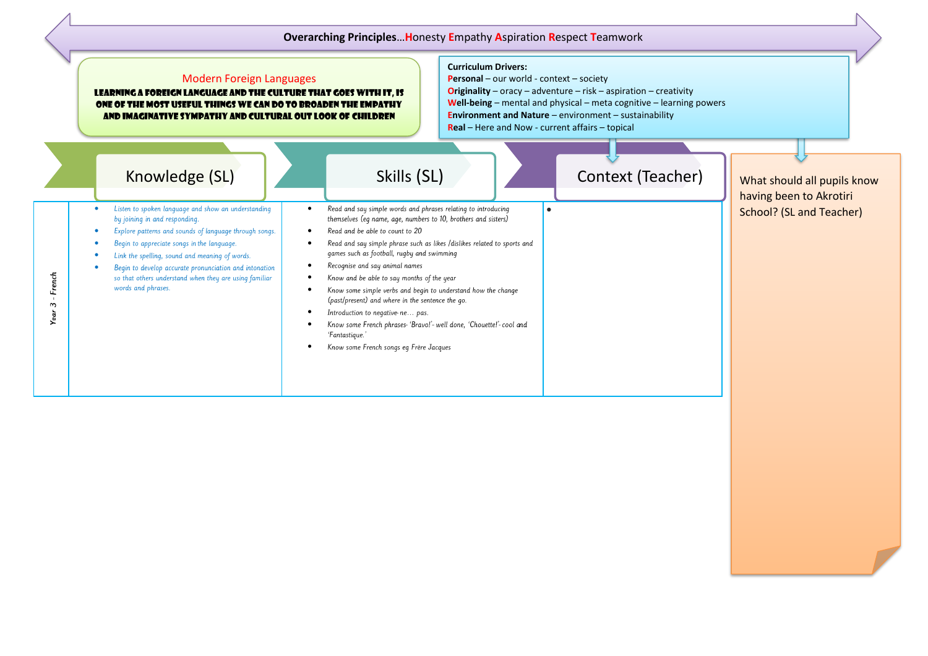## **Overarching Principles**…**H**onesty **E**mpathy **A**spiration **R**espect **T**eamwork

|                | <b>Modern Foreign Languages</b><br>LEARNING A FOREIGN LANGUAGE AND THE CULTURE THAT GOES WITH IT, IS<br>ONE OF THE MOST USEFUL THINGS WE CAN DO TO BROADEN THE EMPATHY<br>AND IMAGINATIVE SYMPATHY AND CULTURAL OUT LOOK OF CHILDREN                                                                                                                                                                       |                                                                                                                                                                                                                                                                                                                                                                                                                                                              | <b>Curriculum Drivers:</b><br><b>Personal</b> – our world - context – society<br><b>Originality</b> – oracy – adventure – risk – aspiration – creativity<br><b>Well-being</b> – mental and physical – meta cognitive – learning powers<br><b>Environment and Nature</b> $-$ environment $-$ sustainability<br>Real - Here and Now - current affairs - topical |                   |                                                                                    |
|----------------|------------------------------------------------------------------------------------------------------------------------------------------------------------------------------------------------------------------------------------------------------------------------------------------------------------------------------------------------------------------------------------------------------------|--------------------------------------------------------------------------------------------------------------------------------------------------------------------------------------------------------------------------------------------------------------------------------------------------------------------------------------------------------------------------------------------------------------------------------------------------------------|---------------------------------------------------------------------------------------------------------------------------------------------------------------------------------------------------------------------------------------------------------------------------------------------------------------------------------------------------------------|-------------------|------------------------------------------------------------------------------------|
| French         | Knowledge (SL)<br>Listen to spoken language and show an understanding<br>by joining in and responding.<br>Explore patterns and sounds of language through songs.<br>Begin to appreciate songs in the language.<br>Link the spelling, sound and meaning of words.<br>Begin to develop accurate pronunciation and intonation<br>so that others understand when they are using familiar<br>words and phrases. | Skills (SL)<br>Read and say simple words and phrases relating to introducing<br>themselves (eq name, aqe, numbers to 10, brothers and sisters)<br>Read and he able to count to 20<br>Read and say simple phrase such as likes /dislikes related to sports and<br>games such as football, rugby and swimming<br>Recognise and say animal names<br>Know and be able to say months of the year<br>Know some simple verbs and begin to understand how the change | $\bullet$                                                                                                                                                                                                                                                                                                                                                     | Context (Teacher) | What should all pupils know<br>having been to Akrotiri<br>School? (SL and Teacher) |
| $\sim$<br>Year |                                                                                                                                                                                                                                                                                                                                                                                                            | (past/present) and where in the sentence the go.<br>Introduction to negative-ne pas.<br>Know some French phrases-'Bravo!'- well done, 'Chouette!'- cool and<br>'Fantastique.'<br>Know some French songs eg Frère Jacques                                                                                                                                                                                                                                     |                                                                                                                                                                                                                                                                                                                                                               |                   |                                                                                    |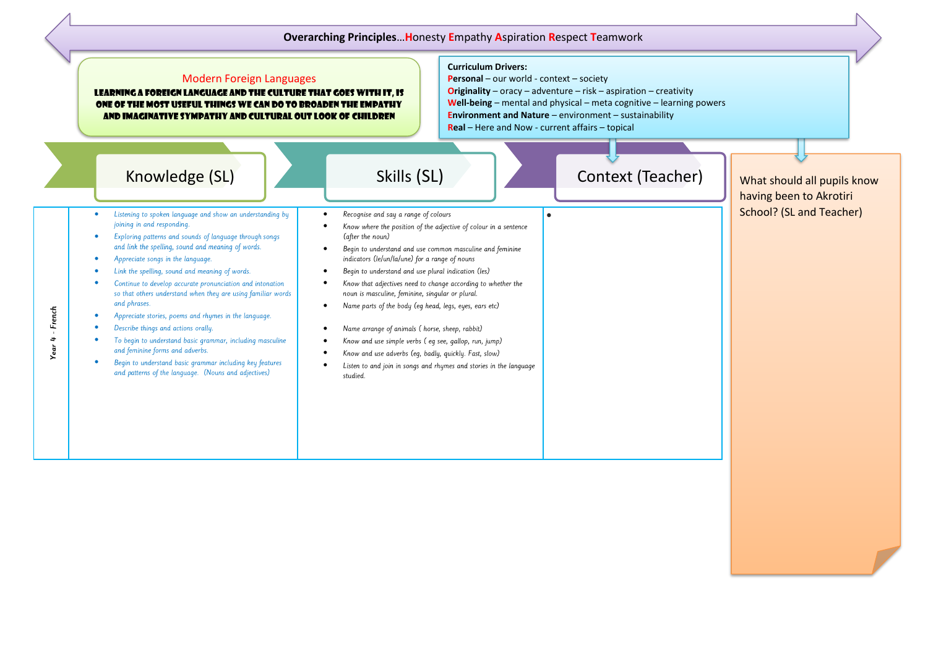## **Overarching Principles**…**H**onesty **E**mpathy **A**spiration **R**espect **T**eamwork

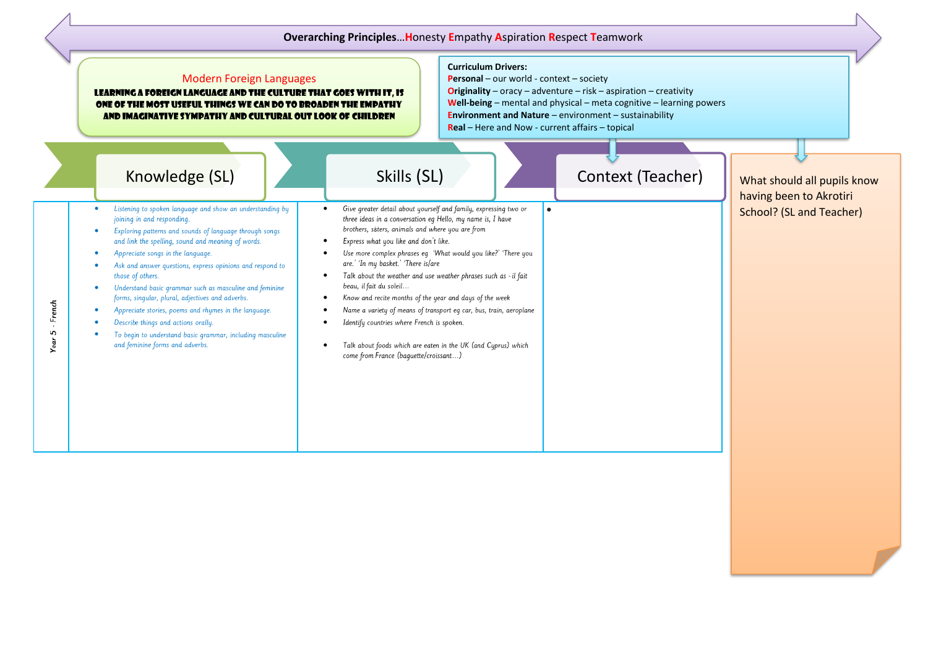## **Overarching Principles**…**H**onesty **E**mpathy **A**spiration **R**espect **T**eamwork

|                     | <b>Modern Foreign Languages</b><br>LEARNING A FOREIGN LANGUAGE AND THE CULTURE THAT GOES WITH IT, IS<br>ONE OF THE MOST USEFUL THINGS WE CAN DO TO BROADEN THE EMPATHY<br>AND IMAGINATIVE SYMPATHY AND CULTURAL OUT LOOK OF CHILDREN                                                                                                                                                                                                                                                                                                                                                                       | <b>Curriculum Drivers:</b><br>Personal - our world - context - society<br><b>Originality</b> – oracy – adventure – risk – aspiration – creativity<br>Well-being - mental and physical - meta cognitive - learning powers<br><b>Environment and Nature</b> $-$ environment $-$ sustainability<br>Real - Here and Now - current affairs - topical                                                                                                                                                                                                                                                                                                                       |                                                                                    |
|---------------------|------------------------------------------------------------------------------------------------------------------------------------------------------------------------------------------------------------------------------------------------------------------------------------------------------------------------------------------------------------------------------------------------------------------------------------------------------------------------------------------------------------------------------------------------------------------------------------------------------------|-----------------------------------------------------------------------------------------------------------------------------------------------------------------------------------------------------------------------------------------------------------------------------------------------------------------------------------------------------------------------------------------------------------------------------------------------------------------------------------------------------------------------------------------------------------------------------------------------------------------------------------------------------------------------|------------------------------------------------------------------------------------|
|                     | Knowledge (SL)<br>Listening to spoken language and show an understanding by<br>$\bullet$                                                                                                                                                                                                                                                                                                                                                                                                                                                                                                                   | Skills (SL)<br>Context (Teacher)<br>Give greater detail about yourself and family, expressing two or<br>$\bullet$                                                                                                                                                                                                                                                                                                                                                                                                                                                                                                                                                     | What should all pupils know<br>having been to Akrotiri<br>School? (SL and Teacher) |
| French<br>5<br>Year | joining in and responding.<br>Exploring patterns and sounds of language through songs<br>and link the spelling, sound and meaning of words.<br>Appreciate songs in the language.<br>Ask and answer questions, express opinions and respond to<br>those of others.<br>Understand basic grammar such as masculine and feminine<br>$\bullet$<br>forms, singular, plural, adjectives and adverbs.<br>Appreciate stories, poems and rhymes in the language.<br>$\bullet$<br>Describe things and actions orally.<br>To begin to understand basic grammar, including masculine<br>and feminine forms and adverbs. | three ideas in a conversation eq Hello, my name is, I have<br>brothers, sisters, animals and where you are from<br>Express what you like and don't like.<br>Use more complex phrases eq 'What would you like?' 'There you<br>are.' 'In my basket.' 'There is/are<br>Talk about the weather and use weather phrases such as - il fait<br>beau, il fait du soleil<br>Know and recite months of the year and days of the week<br>$\bullet$<br>Name a variety of means of transport eq car, bus, train, aeroplane<br>Identify countries where French is spoken.<br>Talk about foods which are eaten in the UK (and Cyprus) which<br>come from France (baquette/croissant) |                                                                                    |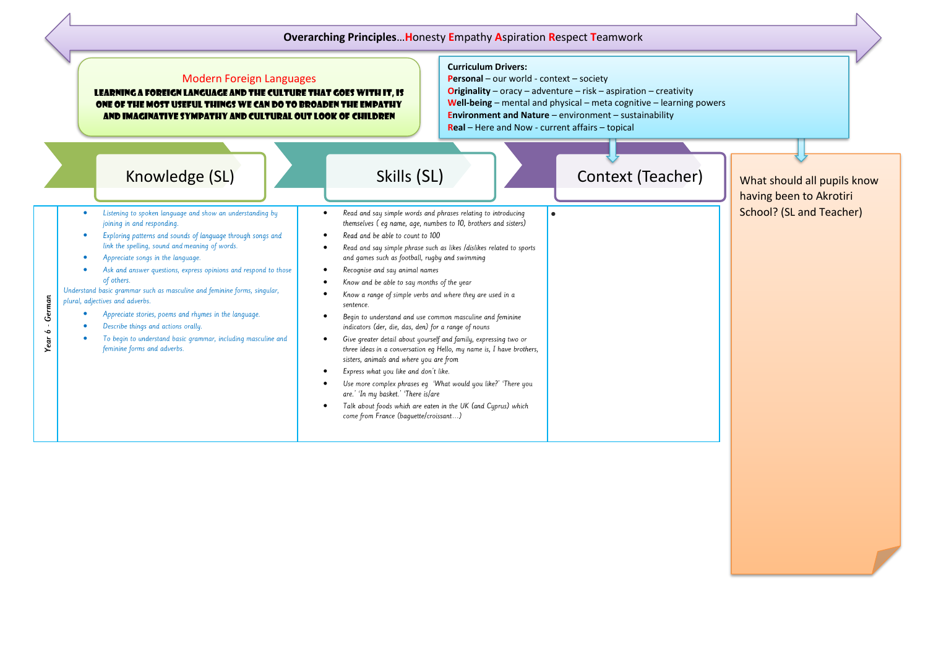## **Overarching Principles**…**H**onesty **E**mpathy **A**spiration **R**espect **T**eamwork **Curriculum Drivers:** Modern Foreign Languages **Personal** – our world - context – society **Originality** – oracy – adventure – risk – aspiration – creativity learning a foreign language and the culture that goes with it, is **Well-being** – mental and physical – meta cognitive – learning powers one of the most useful things we can do to broaden the empathy **Environment and Nature** – environment – sustainability and imaginative sympathy and cultural out look of children **Real** – Here and Now - current affairs – topical Knowledge (SL) Books (SL) Skills (SL) Skills (SL) Context (Teacher) What should all pupils know having been to Akrotiri School? (SL and Teacher) Listening to spoken language and show an understanding by Read and say simple words and phrases relating to introducing • •• joining in and responding themselves (eq name, age, numbers to 10, brothers and sisters) Exploring patterns and sounds of language through songs and Read and be able to count to 100 • • link the spelling, sound and meaning of words. Read and say simple phrase such as likes /dislikes related to sports • • Appreciate songs in the language. and games such as football, rugby and swimming Ask and answer questions, express opinions and respond to those Recognise and say animal names • • of others. Know and be able to say months of the year • Understand basic grammar such as masculine and feminine forms, singular, Know a range of simple verbs and where they are used in a • 6 - German plural, adjectives and adverbs. sentence. • Appreciate stories, poems and rhymes in the language. • Begin to understand and use common masculine and feminine Describe things and actions orally. • indicators (der, die, das, den) for a range of nouns Year ( To begin to understand basic grammar, including masculine and • • Give greater detail about yourself and family, expressing two or feminine forms and adverbs. three ideas in a conversation eq Hello, my name is, I have brothers, sisters, animals and where you are from Express what you like and don't like. • Use more complex phrases eq 'What would you like?' 'There you • are.' 'In my basket.' 'There is/are Talk about foods which are eaten in the UK (and Cyprus) which • come from France (baquette/croissant...)